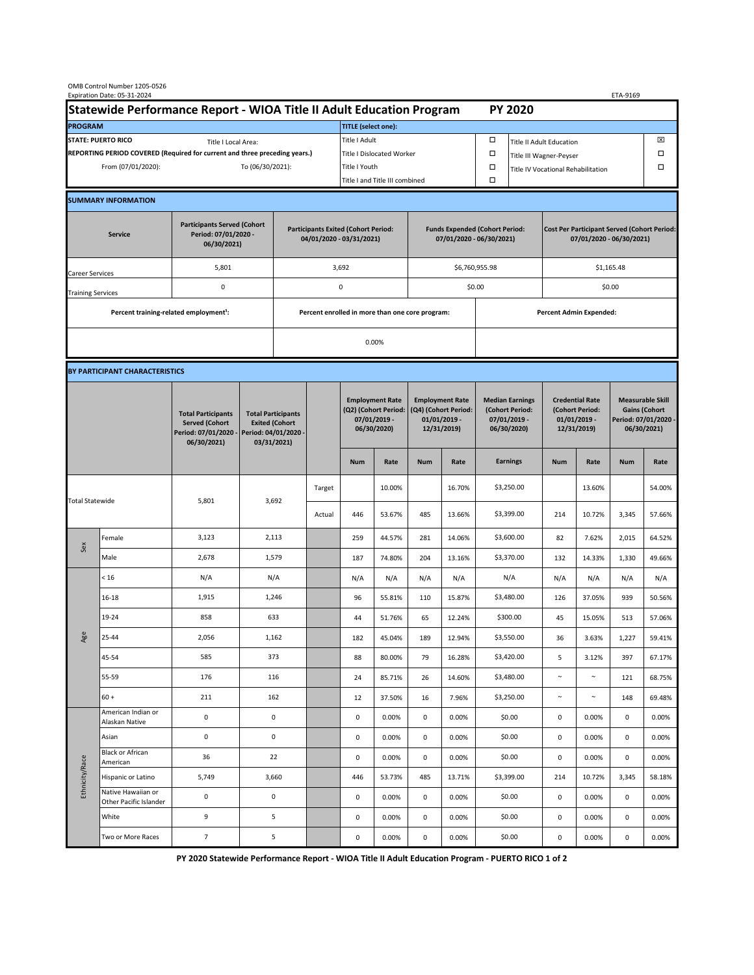| OMB Control Number 1205-0526<br>Expiration Date: 05-31-2024<br>ETA-9169                     |                                                    |                                                                                           |                                                                        |                                                                   |                                                 |                                                                               |                                                                   |                                                                                 |                |                                                                            |                                                                                |                                                                            |        |                                                                                        |        |  |
|---------------------------------------------------------------------------------------------|----------------------------------------------------|-------------------------------------------------------------------------------------------|------------------------------------------------------------------------|-------------------------------------------------------------------|-------------------------------------------------|-------------------------------------------------------------------------------|-------------------------------------------------------------------|---------------------------------------------------------------------------------|----------------|----------------------------------------------------------------------------|--------------------------------------------------------------------------------|----------------------------------------------------------------------------|--------|----------------------------------------------------------------------------------------|--------|--|
| Statewide Performance Report - WIOA Title II Adult Education Program                        |                                                    |                                                                                           |                                                                        |                                                                   |                                                 |                                                                               |                                                                   |                                                                                 |                |                                                                            | <b>PY 2020</b>                                                                 |                                                                            |        |                                                                                        |        |  |
| <b>PROGRAM</b>                                                                              |                                                    |                                                                                           |                                                                        |                                                                   |                                                 | <b>TITLE</b> (select one):                                                    |                                                                   |                                                                                 |                |                                                                            |                                                                                |                                                                            |        |                                                                                        |        |  |
| <b>STATE: PUERTO RICO</b><br>Title I Local Area:                                            |                                                    |                                                                                           |                                                                        |                                                                   |                                                 | Title I Adult                                                                 |                                                                   |                                                                                 |                | □<br><b>Title II Adult Education</b>                                       |                                                                                |                                                                            |        |                                                                                        | ⊠      |  |
| REPORTING PERIOD COVERED (Required for current and three preceding years.)                  |                                                    |                                                                                           |                                                                        |                                                                   | <b>Title I Dislocated Worker</b>                |                                                                               |                                                                   |                                                                                 | $\Box$         | $\Box$<br>Title III Wagner-Peyser                                          |                                                                                |                                                                            |        |                                                                                        |        |  |
| From (07/01/2020):<br>To (06/30/2021):                                                      |                                                    |                                                                                           |                                                                        |                                                                   | Title I Youth                                   |                                                                               |                                                                   |                                                                                 | $\Box$         | Title IV Vocational Rehabilitation                                         |                                                                                |                                                                            |        | □                                                                                      |        |  |
|                                                                                             |                                                    |                                                                                           |                                                                        |                                                                   |                                                 | Title I and Title III combined                                                |                                                                   |                                                                                 |                | Ω                                                                          |                                                                                |                                                                            |        |                                                                                        |        |  |
|                                                                                             | <b>SUMMARY INFORMATION</b>                         |                                                                                           |                                                                        |                                                                   |                                                 |                                                                               |                                                                   |                                                                                 |                |                                                                            |                                                                                |                                                                            |        |                                                                                        |        |  |
| <b>Participants Served (Cohort</b><br>Period: 07/01/2020 -<br><b>Service</b><br>06/30/2021) |                                                    |                                                                                           | <b>Participants Exited (Cohort Period:</b><br>04/01/2020 - 03/31/2021) |                                                                   |                                                 |                                                                               | <b>Funds Expended (Cohort Period:</b><br>07/01/2020 - 06/30/2021) |                                                                                 |                |                                                                            | <b>Cost Per Participant Served (Cohort Period:</b><br>07/01/2020 - 06/30/2021) |                                                                            |        |                                                                                        |        |  |
| Career Services                                                                             |                                                    | 5,801                                                                                     |                                                                        |                                                                   | 3,692                                           |                                                                               |                                                                   |                                                                                 | \$6,760,955.98 |                                                                            | \$1,165.48                                                                     |                                                                            |        |                                                                                        |        |  |
| <b>Training Services</b>                                                                    |                                                    | $\mathsf 0$                                                                               | 0                                                                      |                                                                   |                                                 |                                                                               |                                                                   |                                                                                 | \$0.00         |                                                                            | \$0.00                                                                         |                                                                            |        |                                                                                        |        |  |
|                                                                                             | Percent training-related employment <sup>1</sup> : |                                                                                           |                                                                        |                                                                   | Percent enrolled in more than one core program: |                                                                               |                                                                   |                                                                                 |                | <b>Percent Admin Expended:</b>                                             |                                                                                |                                                                            |        |                                                                                        |        |  |
|                                                                                             |                                                    |                                                                                           |                                                                        |                                                                   | 0.00%                                           |                                                                               |                                                                   |                                                                                 |                |                                                                            |                                                                                |                                                                            |        |                                                                                        |        |  |
|                                                                                             |                                                    |                                                                                           |                                                                        |                                                                   |                                                 |                                                                               |                                                                   |                                                                                 |                |                                                                            |                                                                                |                                                                            |        |                                                                                        |        |  |
|                                                                                             | BY PARTICIPANT CHARACTERISTICS                     |                                                                                           |                                                                        |                                                                   |                                                 |                                                                               |                                                                   |                                                                                 |                |                                                                            |                                                                                |                                                                            |        |                                                                                        |        |  |
|                                                                                             |                                                    | <b>Total Participants</b><br><b>Served (Cohort</b><br>Period: 07/01/2020 -<br>06/30/2021) | Period: 04/01/2020 -                                                   | <b>Total Participants</b><br><b>Exited (Cohort</b><br>03/31/2021) |                                                 | <b>Employment Rate</b><br>(Q2) (Cohort Period:<br>07/01/2019 -<br>06/30/2020) |                                                                   | <b>Employment Rate</b><br>(Q4) (Cohort Period:<br>$01/01/2019$ -<br>12/31/2019) |                | <b>Median Earnings</b><br>(Cohort Period:<br>$07/01/2019 -$<br>06/30/2020) |                                                                                | <b>Credential Rate</b><br>(Cohort Period:<br>$01/01/2019 -$<br>12/31/2019) |        | <b>Measurable Skill</b><br><b>Gains (Cohort</b><br>Period: 07/01/2020 -<br>06/30/2021) |        |  |
|                                                                                             |                                                    |                                                                                           |                                                                        |                                                                   |                                                 | <b>Num</b>                                                                    | Rate                                                              | <b>Num</b>                                                                      | Rate           |                                                                            | <b>Earnings</b>                                                                | <b>Num</b>                                                                 | Rate   | <b>Num</b>                                                                             | Rate   |  |
| <b>Total Statewide</b>                                                                      |                                                    | 5,801                                                                                     | 3,692                                                                  |                                                                   | Target                                          |                                                                               | 10.00%                                                            |                                                                                 | 16.70%         |                                                                            | \$3,250.00                                                                     |                                                                            | 13.60% |                                                                                        | 54.00% |  |
|                                                                                             |                                                    |                                                                                           |                                                                        |                                                                   | Actual                                          | 446                                                                           | 53.67%                                                            | 485                                                                             | 13.66%         |                                                                            | \$3,399.00                                                                     | 214                                                                        | 10.72% | 3,345                                                                                  | 57.66% |  |
| Sex                                                                                         | Female                                             | 3,123                                                                                     | 2,113                                                                  |                                                                   |                                                 | 259                                                                           | 44.57%                                                            | 281                                                                             | 14.06%         |                                                                            | \$3,600.00                                                                     | 82                                                                         | 7.62%  | 2,015                                                                                  | 64.52% |  |
|                                                                                             | Male                                               | 2,678                                                                                     | 1,579                                                                  |                                                                   |                                                 | 187                                                                           | 74.80%                                                            | 204                                                                             | 13.16%         |                                                                            | \$3,370.00                                                                     | 132                                                                        | 14.33% | 1,330                                                                                  | 49.66% |  |
|                                                                                             | < 16                                               | N/A                                                                                       | N/A                                                                    |                                                                   |                                                 | N/A                                                                           | N/A                                                               | N/A                                                                             | N/A            |                                                                            | N/A                                                                            | N/A                                                                        | N/A    | N/A                                                                                    | N/A    |  |
|                                                                                             | $16 - 18$                                          | 1,915                                                                                     | 1,246                                                                  |                                                                   |                                                 | 96                                                                            | 55.81%                                                            | 110                                                                             | 15.87%         |                                                                            | \$3,480.00                                                                     | 126                                                                        | 37.05% | 939                                                                                    | 50.56% |  |
| Age                                                                                         | 19-24                                              | 858                                                                                       | 633                                                                    |                                                                   |                                                 | 44                                                                            | 51.76%                                                            | 65                                                                              | 12.24%         |                                                                            | \$300.00                                                                       | 45                                                                         | 15.05% | 513                                                                                    | 57.06% |  |
|                                                                                             | 25-44                                              | 2,056                                                                                     | 1,162                                                                  |                                                                   |                                                 | 182                                                                           | 45.04%                                                            | 189                                                                             | 12.94%         |                                                                            | \$3,550.00                                                                     | 36                                                                         | 3.63%  | 1,227                                                                                  | 59.41% |  |
|                                                                                             | 45-54                                              | 585                                                                                       | 373                                                                    |                                                                   |                                                 | 88                                                                            | 80.00%                                                            | 79                                                                              | 16.28%         |                                                                            | \$3,420.00                                                                     | 5                                                                          | 3.12%  | 397                                                                                    | 67.17% |  |
|                                                                                             | 55-59                                              | 176                                                                                       | 116                                                                    |                                                                   |                                                 | 24                                                                            | 85.71%                                                            | 26                                                                              | 14.60%         |                                                                            | \$3,480.00                                                                     | $\sim$                                                                     | $\sim$ | 121                                                                                    | 68.75% |  |
|                                                                                             | $60 +$                                             | 211                                                                                       | 162                                                                    |                                                                   |                                                 | 12                                                                            | 37.50%                                                            | 16                                                                              | 7.96%          |                                                                            | \$3,250.00                                                                     | $\sim$                                                                     | $\sim$ | 148                                                                                    | 69.48% |  |
| Ethnicity/Race                                                                              | American Indian or<br>Alaskan Native               | $\mathsf{O}\xspace$                                                                       | $\mathsf{O}\xspace$                                                    |                                                                   |                                                 | 0                                                                             | 0.00%                                                             | 0                                                                               | 0.00%          |                                                                            | \$0.00                                                                         | $\mathsf{O}\xspace$                                                        | 0.00%  | 0                                                                                      | 0.00%  |  |
|                                                                                             | Asian                                              | $\mathsf 0$                                                                               | $\mathsf 0$                                                            |                                                                   |                                                 | 0                                                                             | 0.00%                                                             | 0                                                                               | 0.00%          |                                                                            | \$0.00                                                                         | 0                                                                          | 0.00%  | 0                                                                                      | 0.00%  |  |
|                                                                                             | <b>Black or African</b><br>American                | 36                                                                                        | 22                                                                     |                                                                   |                                                 | 0                                                                             | 0.00%                                                             | 0                                                                               | 0.00%          |                                                                            | \$0.00                                                                         | $\mathbf 0$                                                                | 0.00%  | $\mathsf{O}\xspace$                                                                    | 0.00%  |  |
|                                                                                             | Hispanic or Latino                                 | 5,749                                                                                     | 3,660                                                                  |                                                                   |                                                 | 446                                                                           | 53.73%                                                            | 485                                                                             | 13.71%         |                                                                            | \$3,399.00                                                                     | 214                                                                        | 10.72% | 3,345                                                                                  | 58.18% |  |
|                                                                                             | Native Hawaiian or<br>Other Pacific Islander       | 0                                                                                         | 0                                                                      |                                                                   |                                                 | 0                                                                             | 0.00%                                                             | 0                                                                               | 0.00%          |                                                                            | \$0.00                                                                         | $\mathsf{O}\xspace$                                                        | 0.00%  | 0                                                                                      | 0.00%  |  |
|                                                                                             | White                                              | 9                                                                                         | 5                                                                      |                                                                   |                                                 | 0                                                                             | 0.00%                                                             | 0                                                                               | 0.00%          |                                                                            | \$0.00                                                                         | $\mathsf 0$                                                                | 0.00%  | 0                                                                                      | 0.00%  |  |
|                                                                                             | Two or More Races                                  | $\overline{7}$                                                                            | 5                                                                      |                                                                   |                                                 | 0                                                                             | 0.00%                                                             | 0                                                                               | 0.00%          |                                                                            | \$0.00                                                                         | $\mathsf{O}\xspace$                                                        | 0.00%  | $\mathsf 0$                                                                            | 0.00%  |  |

**PY 2020 Statewide Performance Report - WIOA Title II Adult Education Program - PUERTO RICO 1 of 2**